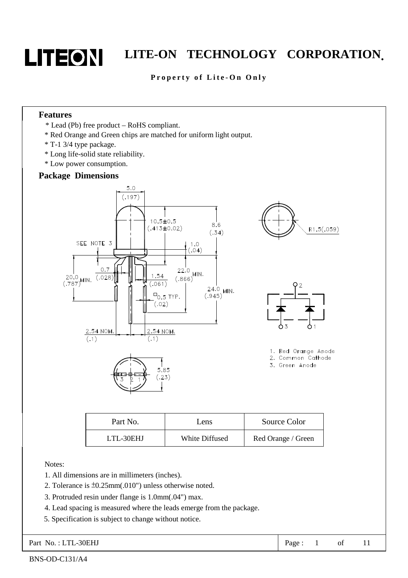

#### Property of Lite-On Only

#### **Features**

- \* Lead (Pb) free product RoHS compliant.
- \* Red Orange and Green chips are matched for uniform light output.
- \* T-1 3/4 type package.
- \* Long life-solid state reliability.
- \* Low power consumption.

#### **Package Dimensions**



| Part No.  | Lens           | Source Color       |
|-----------|----------------|--------------------|
| LTL-30EHJ | White Diffused | Red Orange / Green |

Notes:

- 1. All dimensions are in millimeters (inches).
- 2. Tolerance is ±0.25mm(.010") unless otherwise noted.
- 3. Protruded resin under flange is 1.0mm(.04") max.
- 4. Lead spacing is measured where the leads emerge from the package.
- 5. Specification is subject to change without notice.

Part No.: LTL-30EHJ Page: 1 of 11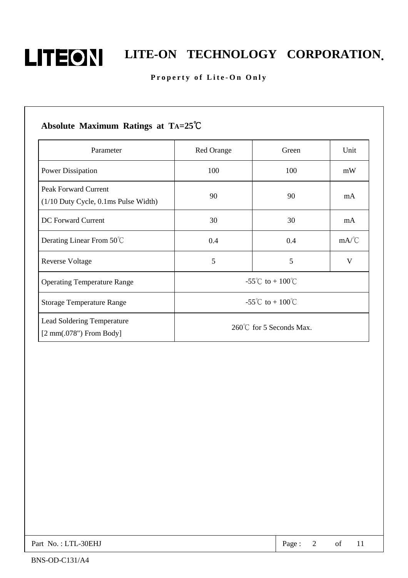

# **LITEON** LITE-ON TECHNOLOGY CORPORATION.

#### Property of Lite-On Only

## **Absolute Maximum Ratings at TA=25**℃ Parameter Red Orange Red Orange Green Vinit Power Dissipation 100 100 mW Peak Forward Current (1/10 Duty Cycle, 0.1ms Pulse Width) 90 90 mA DC Forward Current 1 30 30 30 mA Derating Linear From 50°C 0.4 0.4 mA/°C Reverse Voltage 1988 and 1988 and 1988 and 1988 and 1988 and 1988 and 1988 and 1988 and 1988 and 1988 and 1988 and 1988 and 1988 and 1988 and 1988 and 1988 and 1988 and 1988 and 1988 and 1988 and 1988 and 1988 and 1988 and Operating Temperature Range  $-55^{\circ}$ C to + 100°C Storage Temperature Range  $-55^{\circ}$ C to + 100°C Lead Soldering Temperature [2 mm(.078") From Body] 260℃ for 5 Seconds Max.

| Part No.: LTL-30EHJ | Page: |  | 2 of 11 |  |
|---------------------|-------|--|---------|--|
|---------------------|-------|--|---------|--|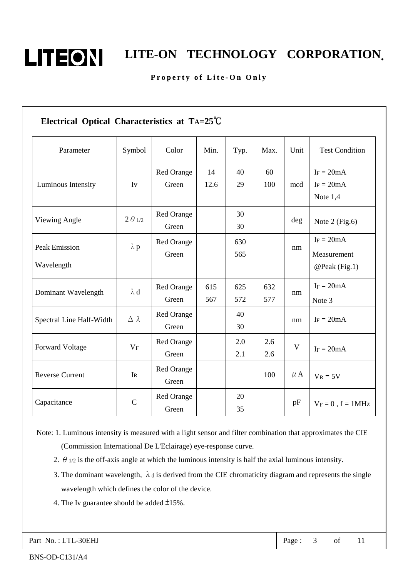

### Property of Lite-On Only

| Parameter                          | Symbol           | Color                      | Min.       | Typ.       | Max.       | Unit        | <b>Test Condition</b>                        |
|------------------------------------|------------------|----------------------------|------------|------------|------------|-------------|----------------------------------------------|
| Luminous Intensity                 | $I_{V}$          | <b>Red Orange</b><br>Green | 14<br>12.6 | 40<br>29   | 60<br>100  | mcd         | $I_F = 20mA$<br>$I_F = 20mA$<br>Note $1,4$   |
| Viewing Angle                      | $2\theta_{1/2}$  | Red Orange<br>Green        |            | 30<br>30   |            | deg         | Note $2$ (Fig.6)                             |
| <b>Peak Emission</b><br>Wavelength | $\lambda$ p      | Red Orange<br>Green        |            | 630<br>565 |            | nm          | $I_F = 20mA$<br>Measurement<br>@Peak (Fig.1) |
| Dominant Wavelength                | $\lambda$ d      | Red Orange<br>Green        | 615<br>567 | 625<br>572 | 632<br>577 | nm          | $I_F = 20mA$<br>Note 3                       |
| Spectral Line Half-Width           | $\Delta \lambda$ | Red Orange<br>Green        |            | 40<br>30   |            | nm          | $I_F = 20mA$                                 |
| Forward Voltage                    | $V_F$            | Red Orange<br>Green        |            | 2.0<br>2.1 | 2.6<br>2.6 | $\mathbf V$ | $I_F = 20mA$                                 |
| <b>Reverse Current</b>             | $I_{R}$          | Red Orange<br>Green        |            |            | 100        | $\mu$ A     | $V_R = 5V$                                   |
| Capacitance                        | $\mathbf C$      | Red Orange<br>Green        |            | 20<br>35   |            | pF          | $V_F = 0$ , $f = 1MHz$                       |

 Note: 1. Luminous intensity is measured with a light sensor and filter combination that approximates the CIE (Commission International De L'Eclairage) eye-response curve.

- 2.  $\theta$  1/2 is the off-axis angle at which the luminous intensity is half the axial luminous intensity.
- 3. The dominant wavelength,  $\lambda_d$  is derived from the CIE chromaticity diagram and represents the single wavelength which defines the color of the device.
- 4. The Iv guarantee should be added  $\pm 15\%$ .

Part No.: LTL-30EHJ Page: 3 of 11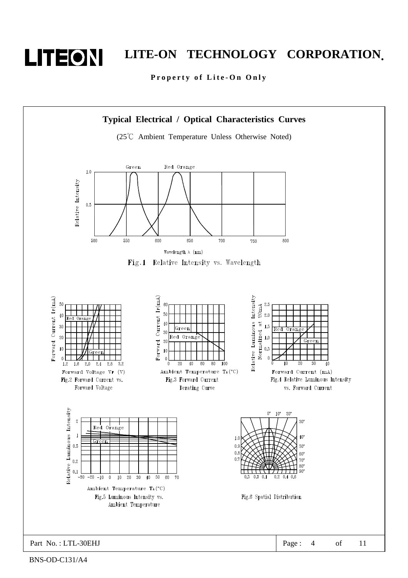

Property of Lite-On Only



BNS-OD-C131/A4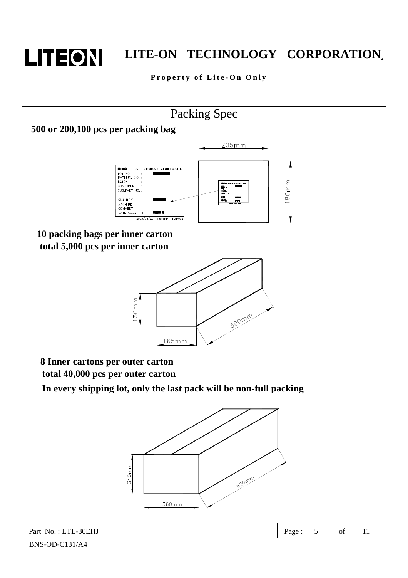

### Property of Lite-On Only

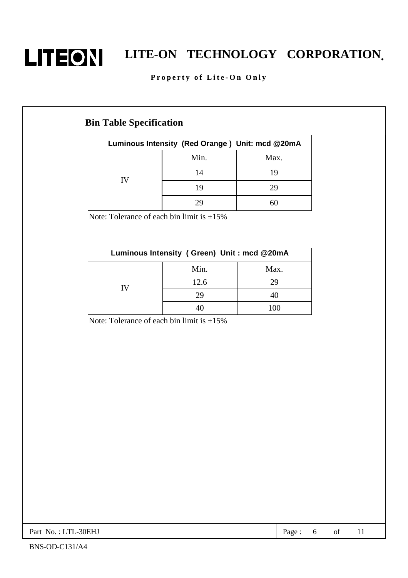

# **LITEON** LITE-ON TECHNOLOGY CORPORATION.

### Property of Lite-On Only

### **Bin Table Specification**

| Luminous Intensity (Red Orange) Unit: mcd @20mA |      |      |  |  |
|-------------------------------------------------|------|------|--|--|
|                                                 | Min. | Max. |  |  |
| IV                                              | 14   | 19   |  |  |
|                                                 | 19   | 29   |  |  |
|                                                 |      |      |  |  |

Note: Tolerance of each bin limit is  $\pm 15\%$ 

| Luminous Intensity (Green) Unit: mcd @20mA |      |      |  |  |
|--------------------------------------------|------|------|--|--|
|                                            | Min. | Max. |  |  |
| IV                                         | 12.6 | 79   |  |  |
|                                            | 29   |      |  |  |
|                                            |      |      |  |  |

Note: Tolerance of each bin limit is  $\pm 15\%$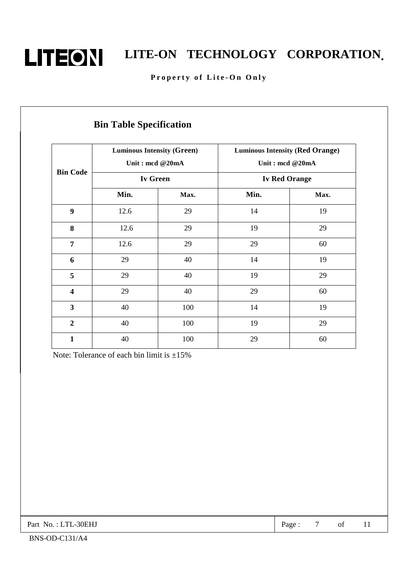

### Property of Lite-On Only

|                         | <b>Luminous Intensity (Green)</b><br>Unit: mcd @20mA |      | <b>Luminous Intensity (Red Orange)</b><br>Unit: mcd @20mA |      |
|-------------------------|------------------------------------------------------|------|-----------------------------------------------------------|------|
| <b>Bin Code</b>         | Iv Green                                             |      | <b>Iv Red Orange</b>                                      |      |
|                         | Min.                                                 | Max. | Min.                                                      | Max. |
| $\boldsymbol{9}$        | 12.6                                                 | 29   | 14                                                        | 19   |
| 8                       | 12.6                                                 | 29   | 19                                                        | 29   |
| $\overline{7}$          | 12.6                                                 | 29   | 29                                                        | 60   |
| 6                       | 29                                                   | 40   | 14                                                        | 19   |
| 5                       | 29                                                   | 40   | 19                                                        | 29   |
| $\overline{\mathbf{4}}$ | 29                                                   | 40   | 29                                                        | 60   |
| $\overline{\mathbf{3}}$ | 40                                                   | 100  | 14                                                        | 19   |
| $\overline{2}$          | 40                                                   | 100  | 19                                                        | 29   |
| $\mathbf{1}$            | 40                                                   | 100  | 29                                                        | 60   |

Note: Tolerance of each bin limit is  $\pm 15\%$ 

Part No.: LTL-30EHJ Page: 7 of 11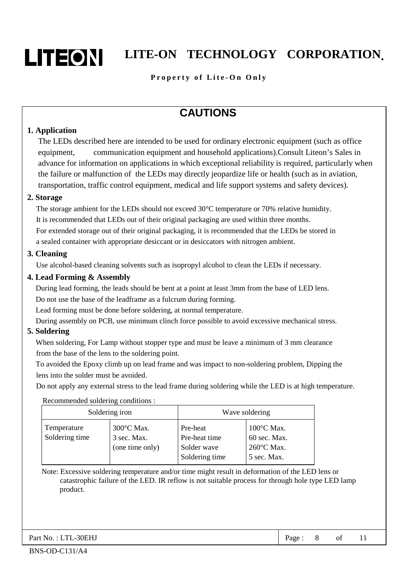

### **Property of Lite-On Only**

### **CAUTIONS**

#### **1. Application**

The LEDs described here are intended to be used for ordinary electronic equipment (such as office equipment, communication equipment and household applications).Consult Liteon's Sales in advance for information on applications in which exceptional reliability is required, particularly when the failure or malfunction of the LEDs may directly jeopardize life or health (such as in aviation, transportation, traffic control equipment, medical and life support systems and safety devices).

#### **2. Storage**

The storage ambient for the LEDs should not exceed 30°C temperature or 70% relative humidity. It is recommended that LEDs out of their original packaging are used within three months. For extended storage out of their original packaging, it is recommended that the LEDs be stored in a sealed container with appropriate desiccant or in desiccators with nitrogen ambient.

#### **3. Cleaning**

Use alcohol-based cleaning solvents such as isopropyl alcohol to clean the LEDs if necessary.

#### **4. Lead Forming & Assembly**

During lead forming, the leads should be bent at a point at least 3mm from the base of LED lens. Do not use the base of the leadframe as a fulcrum during forming.

Lead forming must be done before soldering, at normal temperature.

During assembly on PCB, use minimum clinch force possible to avoid excessive mechanical stress.

### **5. Soldering**

When soldering, For Lamp without stopper type and must be leave a minimum of 3 mm clearance from the base of the lens to the soldering point.

To avoided the Epoxy climb up on lead frame and was impact to non-soldering problem, Dipping the lens into the solder must be avoided.

Do not apply any external stress to the lead frame during soldering while the LED is at high temperature.

Recommended soldering conditions :

| Soldering iron                |                                                        | Wave soldering                                             |                                                                             |  |
|-------------------------------|--------------------------------------------------------|------------------------------------------------------------|-----------------------------------------------------------------------------|--|
| Temperature<br>Soldering time | $300^{\circ}$ C Max.<br>3 sec. Max.<br>(one time only) | Pre-heat<br>Pre-heat time<br>Solder wave<br>Soldering time | $100^{\circ}$ C Max.<br>60 sec. Max.<br>$260^{\circ}$ C Max.<br>5 sec. Max. |  |

Note: Excessive soldering temperature and/or time might result in deformation of the LED lens or catastrophic failure of the LED. IR reflow is not suitable process for through hole type LED lamp product.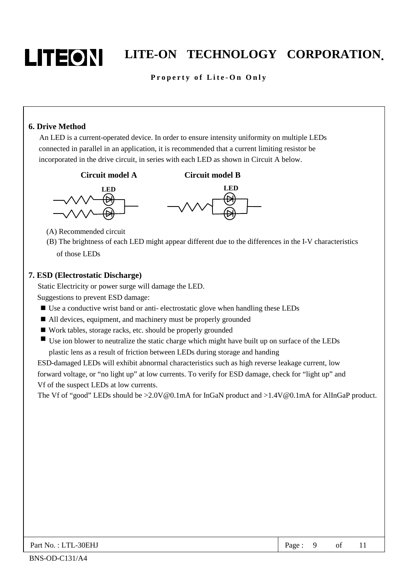

### **Property of Lite-On Only**

### **6. Drive Method**

 An LED is a current-operated device. In order to ensure intensity uniformity on multiple LEDs connected in parallel in an application, it is recommended that a current limiting resistor be incorporated in the drive circuit, in series with each LED as shown in Circuit A below.







- (A) Recommended circuit
- (B) The brightness of each LED might appear different due to the differences in the I-V characteristics of those LEDs

#### **7. ESD (Electrostatic Discharge)**

Static Electricity or power surge will damage the LED.

Suggestions to prevent ESD damage:

- Use a conductive wrist band or anti-electrostatic glove when handling these LEDs
- All devices, equipment, and machinery must be properly grounded
- Work tables, storage racks, etc. should be properly grounded
- Use ion blower to neutralize the static charge which might have built up on surface of the LEDs plastic lens as a result of friction between LEDs during storage and handing

ESD-damaged LEDs will exhibit abnormal characteristics such as high reverse leakage current, low forward voltage, or "no light up" at low currents. To verify for ESD damage, check for "light up" and Vf of the suspect LEDs at low currents.

The Vf of "good" LEDs should be >2.0V@0.1mA for InGaN product and >1.4V@0.1mA for AlInGaP product.

| -30EHJ<br>Part No.<br>m<br>⊥∟ | Page |  | 01 | . . |
|-------------------------------|------|--|----|-----|
|-------------------------------|------|--|----|-----|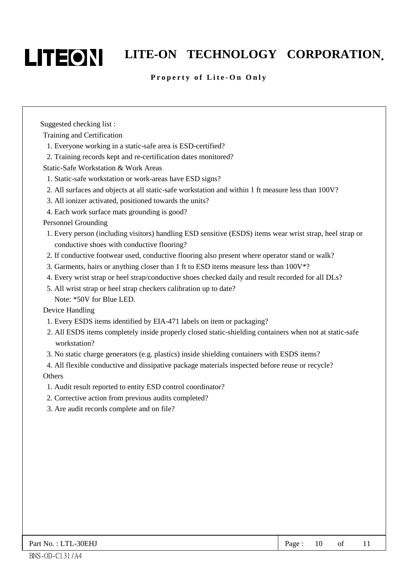

### **Property of Lite-On Only**

Suggested checking list :

Training and Certification

- 1. Everyone working in a static-safe area is ESD-certified?
- 2. Training records kept and re-certification dates monitored?

Static-Safe Workstation & Work Areas

- 1. Static-safe workstation or work-areas have ESD signs?
- 2. All surfaces and objects at all static-safe workstation and within 1 ft measure less than 100V?
- 3. All ionizer activated, positioned towards the units?
- 4. Each work surface mats grounding is good?

Personnel Grounding

- 1. Every person (including visitors) handling ESD sensitive (ESDS) items wear wrist strap, heel strap or conductive shoes with conductive flooring?
- 2. If conductive footwear used, conductive flooring also present where operator stand or walk?
- 3. Garments, hairs or anything closer than 1 ft to ESD items measure less than 100V\*?
- 4. Every wrist strap or heel strap/conductive shoes checked daily and result recorded for all DLs?
- 5. All wrist strap or heel strap checkers calibration up to date?
- Note: \*50V for Blue LED.

Device Handling

- 1. Every ESDS items identified by EIA-471 labels on item or packaging?
- 2. All ESDS items completely inside properly closed static-shielding containers when not at static-safe workstation?
- 3. No static charge generators (e.g. plastics) inside shielding containers with ESDS items?

4. All flexible conductive and dissipative package materials inspected before reuse or recycle?

- **Others**
- 1. Audit result reported to entity ESD control coordinator?
- 2. Corrective action from previous audits completed?
- 3. Are audit records complete and on file?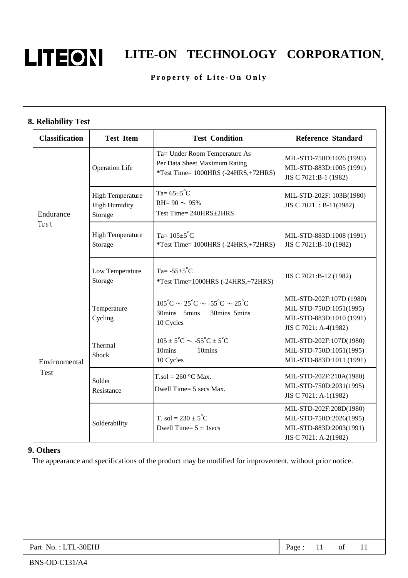

# **LITEON** LITE-ON TECHNOLOGY CORPORATION.

### Property of Lite-On Only

| <b>Classification</b>      | <b>Test Item</b>                                           | <b>Test Condition</b>                                                                                            | <b>Reference Standard</b>                                                                                |
|----------------------------|------------------------------------------------------------|------------------------------------------------------------------------------------------------------------------|----------------------------------------------------------------------------------------------------------|
| <b>Operation Life</b>      |                                                            | Ta= Under Room Temperature As<br>Per Data Sheet Maximum Rating<br>$*Test Time = 1000HRS (-24HRS,+72HRS)$         | MIL-STD-750D:1026 (1995)<br>MIL-STD-883D:1005 (1991)<br>JIS C 7021:B-1 (1982)                            |
| Endurance                  | <b>High Temperature</b><br><b>High Humidity</b><br>Storage | Ta= $65\pm5^{\circ}$ C<br>RH= $90 \sim 95\%$<br>Test Time= 240HRS±2HRS                                           | MIL-STD-202F: 103B(1980)<br>JIS C 7021 : B-11(1982)                                                      |
| Test                       | <b>High Temperature</b><br>Storage                         | Ta= $105 \pm 5^{\circ}$ C<br>*Test Time= 1000HRS (-24HRS,+72HRS)                                                 | MIL-STD-883D:1008 (1991)<br>JIS C 7021:B-10 (1982)                                                       |
| Low Temperature<br>Storage |                                                            | Ta= $-55\pm5^{\circ}$ C<br>*Test Time=1000HRS (-24HRS,+72HRS)                                                    | JIS C 7021:B-12 (1982)                                                                                   |
|                            | Temperature<br>Cycling                                     | $105^{\circ}$ C ~ $25^{\circ}$ C ~ $-55^{\circ}$ C ~ $25^{\circ}$ C<br>30mins 5mins<br>30mins 5mins<br>10 Cycles | MIL-STD-202F:107D (1980)<br>MIL-STD-750D:1051(1995)<br>MIL-STD-883D:1010 (1991)<br>JIS C 7021: A-4(1982) |
| Environmental              | Thermal<br>Shock                                           | $105 \pm 5^{\circ}$ C $\sim -55^{\circ}$ C $\pm 5^{\circ}$ C<br>10mins<br>10mins<br>10 Cycles                    | MIL-STD-202F:107D(1980)<br>MIL-STD-750D:1051(1995)<br>MIL-STD-883D:1011 (1991)                           |
| <b>Test</b>                | Solder<br>Resistance                                       | $T_{.}sol = 260$ °C Max.<br>Dwell Time= 5 secs Max.                                                              | MIL-STD-202F:210A(1980)<br>MIL-STD-750D:2031(1995)<br>JIS C 7021: A-1(1982)                              |
| Solderability              |                                                            | T. sol = $230 \pm 5^{\circ}$ C<br>Dwell Time= $5 \pm 1$ secs                                                     | MIL-STD-202F:208D(1980)<br>MIL-STD-750D:2026(1995)<br>MIL-STD-883D:2003(1991)<br>JIS C 7021: A-2(1982)   |

### **9. Others**

The appearance and specifications of the product may be modified for improvement, without prior notice.